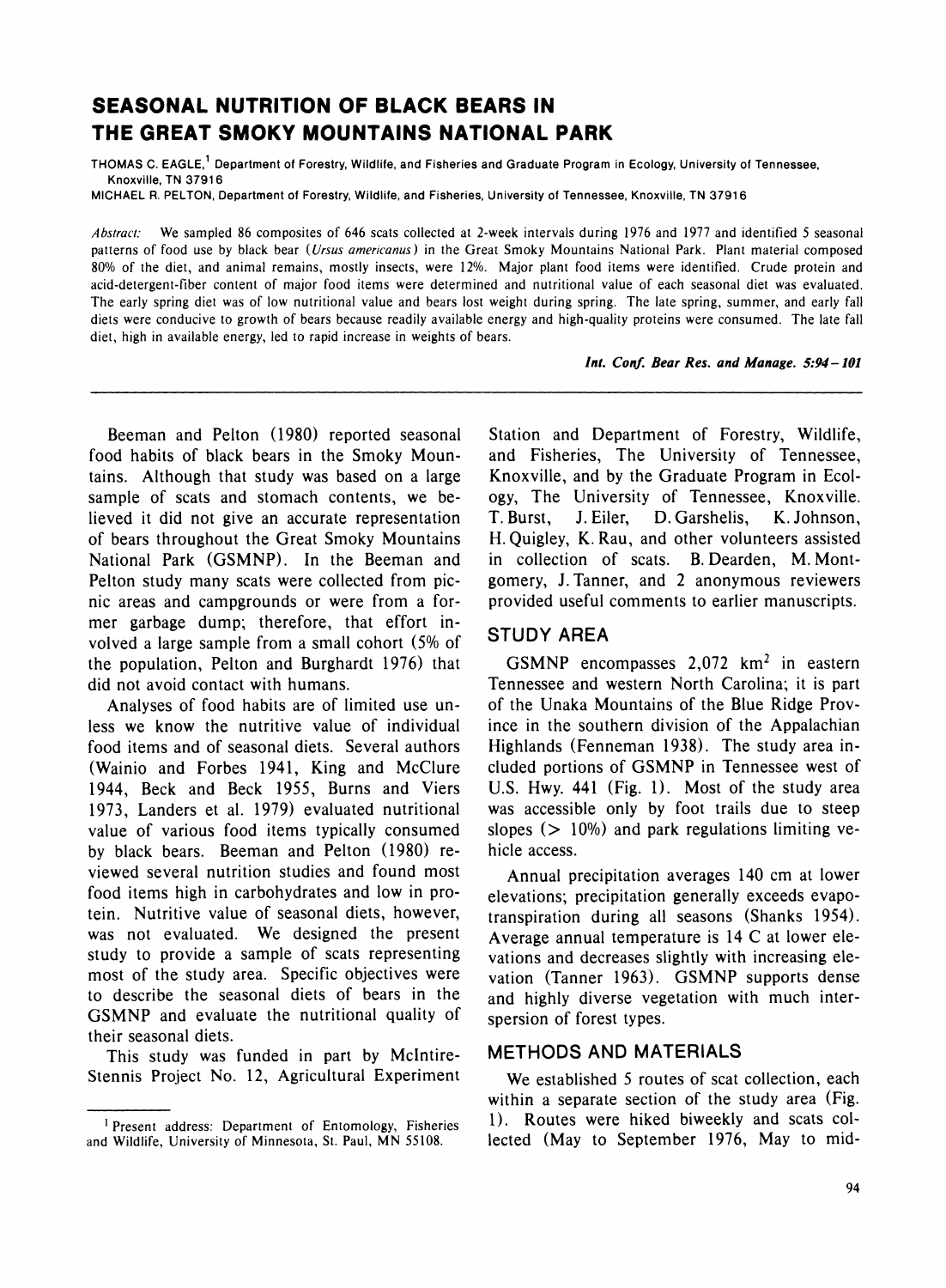# **SEASONAL NUTRITION OF BLACK BEARS IN THE GREAT SMOKY MOUNTAINS NATIONAL PARK**

THOMAS C. EAGLE,<sup>1</sup> Department of Forestry, Wildlife, and Fisheries and Graduate Program in Ecology, University of Tennessee. **Knoxville, TN 37916** 

**MICHAEL R. PELTON, Department of Forestry, Wildlife, and Fisheries, University of Tennessee, Knoxville, TN 37916** 

**Abstract: We sampled 86 composites of 646 scats collected at 2-week intervals during 1976 and 1977 and identified 5 seasonal patterns of food use by black bear (Ursus americanus) in the Great Smoky Mountains National Park. Plant material composed 80% of the diet, and animal remains, mostly insects, were 12%. Major plant food items were identified. Crude protein and acid-detergent-fiber content of major food items were determined and nutritional value of each seasonal diet was evaluated. The early spring diet was of low nutritional value and bears lost weight during spring. The late spring, summer, and early fall diets were conducive to growth of bears because readily available energy and high-quality proteins were consumed. The late fall diet, high in available energy, led to rapid increase in weights of bears.** 

**Int. Conf. Bear Res. and Manage. 5:94-101** 

**Beeman and Pelton (1980) reported seasonal food habits of black bears in the Smoky Mountains. Although that study was based on a large sample of scats and stomach contents, we believed it did not give an accurate representation of bears throughout the Great Smoky Mountains National Park (GSMNP). In the Beeman and Pelton study many scats were collected from picnic areas and campgrounds or were from a former garbage dump; therefore, that effort involved a large sample from a small cohort (5% of the population, Pelton and Burghardt 1976) that did not avoid contact with humans.** 

**Analyses of food habits are of limited use unless we know the nutritive value of individual food items and of seasonal diets. Several authors (Wainio and Forbes 1941, King and McClure 1944, Beck and Beck 1955, Burns and Viers 1973, Landers et al. 1979) evaluated nutritional value of various food items typically consumed by black bears. Beeman and Pelton (1980) reviewed several nutrition studies and found most food items high in carbohydrates and low in protein. Nutritive value of seasonal diets, however, was not evaluated. We designed the present study to provide a sample of scats representing most of the study area. Specific objectives were to describe the seasonal diets of bears in the GSMNP and evaluate the nutritional quality of their seasonal diets.** 

**This study was funded in part by Mclntire-Stennis Project No. 12, Agricultural Experiment**  **Station and Department of Forestry, Wildlife, and Fisheries, The University of Tennessee, Knoxville, and by the Graduate Program in Ecology, The University of Tennessee, Knoxville. T. Burst, J. Eiler, D. Garshelis, K. Johnson, H. Quigley, K. Rau, and other volunteers assisted in collection of scats. B. Dearden, M. Montgomery, J. Tanner, and 2 anonymous reviewers provided useful comments to earlier manuscripts.** 

## **STUDY AREA**

GSMNP encompasses 2,072 km<sup>2</sup> in eastern **Tennessee and western North Carolina; it is part of the Unaka Mountains of the Blue Ridge Province in the southern division of the Appalachian Highlands (Fenneman 1938). The study area included portions of GSMNP in Tennessee west of U.S. Hwy. 441 (Fig. 1). Most of the study area was accessible only by foot trails due to steep slopes (> 10%) and park regulations limiting vehicle access.** 

**Annual precipitation averages 140 cm at lower elevations; precipitation generally exceeds evapotranspiration during all seasons (Shanks 1954). Average annual temperature is 14 C at lower elevations and decreases slightly with increasing elevation (Tanner 1963). GSMNP supports dense and highly diverse vegetation with much interspersion of forest types.** 

### **METHODS AND MATERIALS**

**We established 5 routes of scat collection, each within a separate section of the study area (Fig. 1). Routes were hiked biweekly and scats collected (May to September 1976, May to mid-**

**<sup>1</sup> Present address: Department of Entomology, Fisheries and Wildlife, University of Minnesota, St. Paul, MN 55108.**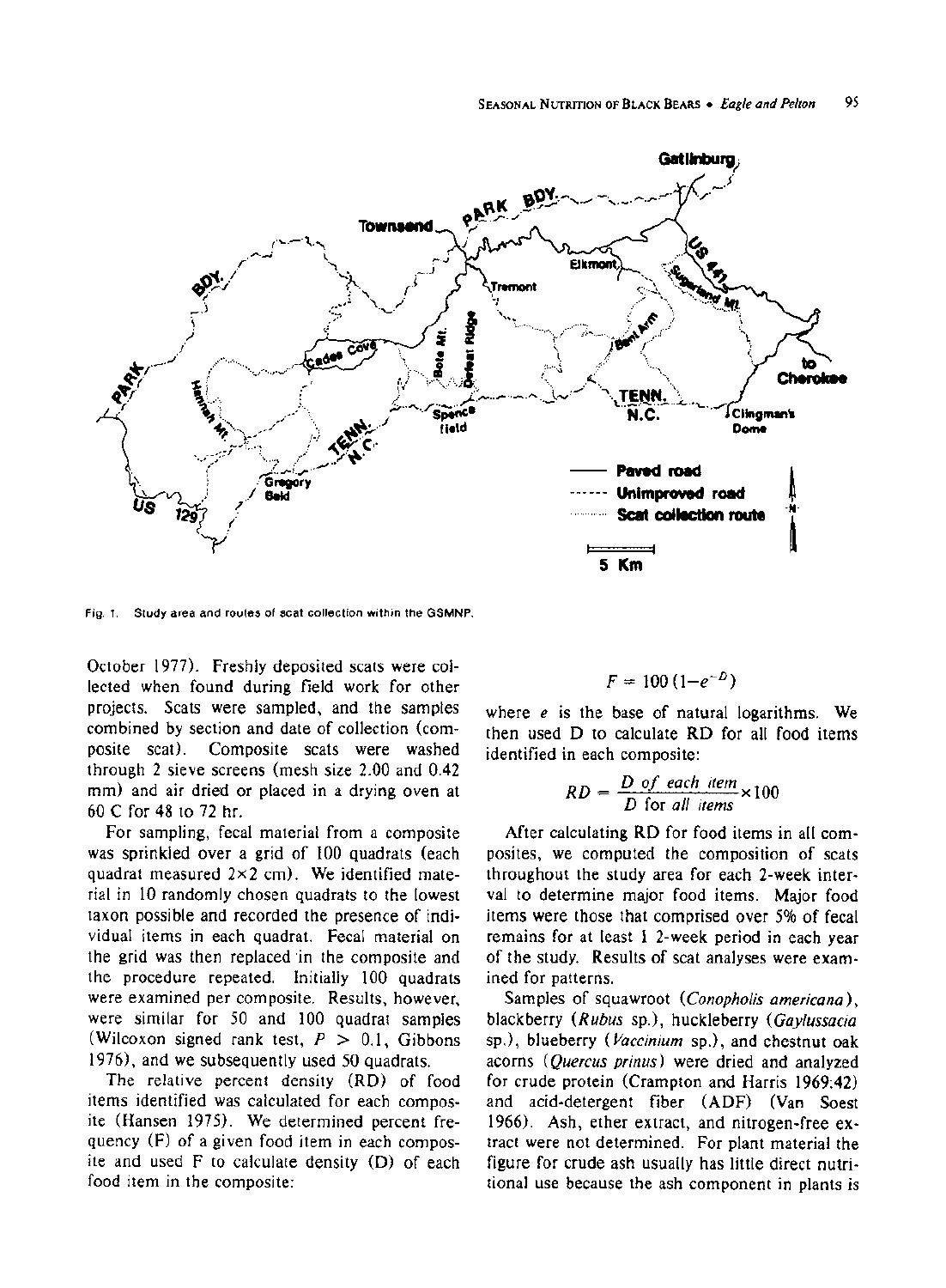

**Fig. 1. Study area and routes of scat collection within the GSMNP.** 

**October 1977). Freshly deposited scats were collected when found during field work for other projects. Scats were sampled, and the samples combined by section and date of collection (composite scat). Composite scats were washed through 2 sieve screens (mesh size 2.00 and 0.42 mm) and air dried or placed in a drying oven at 60 C for 48 to 72 hr.** 

**For sampling, fecal material from a composite was sprinkled over a grid of 100 quadrats (each quadrat measured 2x2 cm). We identified material in 10 randomly chosen quadrats to the lowest taxon possible and recorded the presence of individual items in each quadrat. Fecal material on the grid was then replaced in the composite and the procedure repeated. Initially 100 quadrats were examined per composite. Results, however, were similar for 50 and 100 quadrat samples (Wilcoxon signed rank test, P > 0.1, Gibbons 1976), and we subsequently used 50 quadrats.** 

**The relative percent density (RD) of food items identified was calculated for each composite (Hansen 1975). We determined percent frequency (F) of a given food item in each composite and used F to calculate density (D) of each food item in the composite:** 

$$
F=100\left(1-e^{-D}\right)
$$

**where e is the base of natural logarithms. We then used D to calculate RD for all food items identified in each composite:** 

$$
RD = \frac{D \text{ of each item}}{D \text{ for all items}} \times 100
$$

**After calculating RD for food items in all composites, we computed the composition of scats throughout the study area for each 2-week interval to determine major food items. Major food items were those that comprised over 5% of fecal remains for at least 1 2-week period in each year of the study. Results of scat analyses were examined for patterns.** 

**Samples of squawroot (Conopholis americana), blackberry (Rubus sp.), huckleberry (Gaylussacia sp.), blueberry (Vaccinium sp.), and chestnut oak acorns (Quercus prinus) were dried and analyzed for crude protein (Crampton and Harris 1969:42) and acid-detergent fiber (ADF) (Van Soest 1966). Ash, ether extract, and nitrogen-free extract were not determined. For plant material the figure for crude ash usually has little direct nutritional use because the ash component in plants is**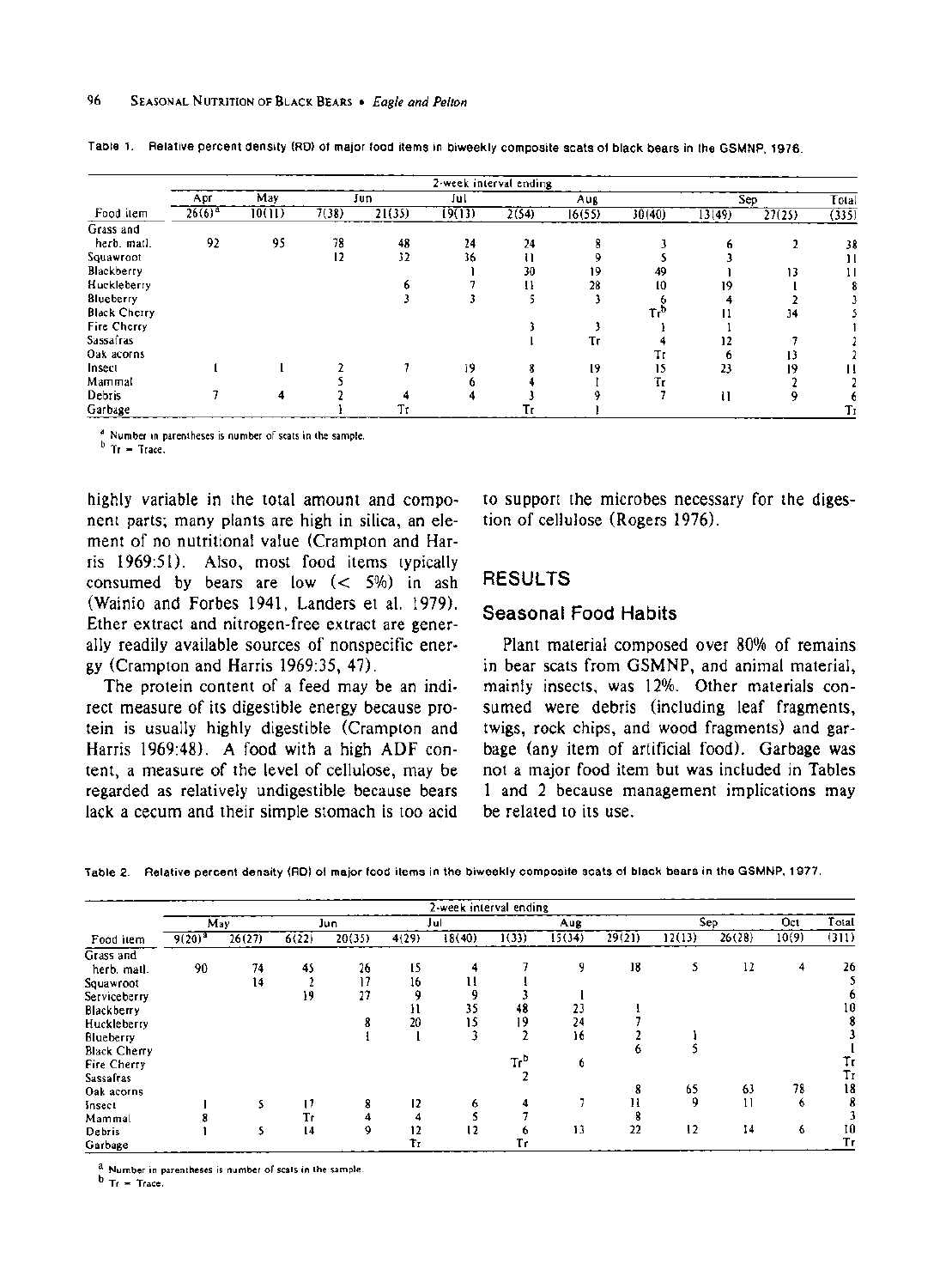|                     | 2-week interval ending |        |       |        |        |       |        |        |        |        |       |  |  |
|---------------------|------------------------|--------|-------|--------|--------|-------|--------|--------|--------|--------|-------|--|--|
|                     | Apr                    | May    |       | Jun    | Jul    |       | Aug    |        |        | Sep    | Total |  |  |
| Food item           | $26(6)^{a}$            | 10(11) | 7(38) | 21(35) | 19(13) | 2(54) | 16(55) | 30(40) | 13(49) | 27(25) | (335) |  |  |
| Grass and           |                        |        |       |        |        |       |        |        |        |        |       |  |  |
| hero. matl.         | 92                     | 95     | 78    | 48     | 24     | 24    |        |        |        |        | 38    |  |  |
| Squawroot           |                        |        | 12    | 32     | 36     |       |        |        |        |        | Ħ     |  |  |
| Blackberry          |                        |        |       |        |        | 30    | 19     | 49     |        | 13     | 11    |  |  |
| Huckleberry         |                        |        |       |        |        |       | 28     | 10     |        |        |       |  |  |
| Blueberry           |                        |        |       |        |        |       |        |        |        |        |       |  |  |
| <b>Black Cherry</b> |                        |        |       |        |        |       |        |        |        | 34     |       |  |  |
| Fire Cherry         |                        |        |       |        |        |       |        |        |        |        |       |  |  |
| <b>Sassafras</b>    |                        |        |       |        |        |       | Tг     |        |        |        |       |  |  |
| Oak acorns          |                        |        |       |        |        |       |        |        |        |        |       |  |  |
| Insect              |                        |        |       |        | 19     |       | 19     | 15     | 23     | 19     |       |  |  |
| Mammal              |                        |        |       |        |        |       |        | Tr     |        |        |       |  |  |
| Debris              |                        |        |       |        |        |       |        |        | u      |        |       |  |  |
| Garbage             |                        |        |       | Tτ     |        |       |        |        |        |        | Тr    |  |  |

**Table 1. Relative percent density (RD) of major food items in biweekly composite scats of black bears in the GSMNP, 1976.** 

**a** Number in parentheses is number of scats in the sample.<br>**b** Tr = Trace.

**highly variable in the total amount and component parts; many plants are high in silica, an element of no nutritional value (Crampton and Harris 1969:51). Also, most food items typically consumed by bears are low (< 5%) in ash (Wainio and Forbes 1941, Landers et al. 1979). Ether extract and nitrogen-free extract are generally readily available sources of nonspecific energy (Crampton and Harris 1969:35, 47).** 

**The protein content of a feed may be an indirect measure of its digestible energy because protein is usually highly digestible (Crampton and Harris 1969:48). A food with a high ADF content, a measure of the level of cellulose, may be regarded as relatively undigestible because bears lack a cecum and their simple stomach is too acid**  **to support the microbes necessary for the digestion of cellulose (Rogers 1976).** 

### **RESULTS**

#### **Seasonal Food Habits**

**Plant material composed over 80% of remains in bear scats from GSMNP, and animal material, mainly insects, was 12%. Other materials consumed were debris (including leaf fragments, twigs, rock chips, and wood fragments) and garbage (any item of artificial food). Garbage was not a major food item but was included in Tables 1 and 2 because management implications may be related to its use.** 

**Table 2. Relative percent density (RD) of major food items in the biweekly composite scats of black bears in the GSMNP, 1977.** 

|                     |             |        |       |        |       | 2-week interval ending |                 |        |        |        |              |       |       |
|---------------------|-------------|--------|-------|--------|-------|------------------------|-----------------|--------|--------|--------|--------------|-------|-------|
|                     |             | May    |       | Jun    |       | Jul                    |                 | Aug    |        |        | Sep          | Oct.  | Total |
| Food item           | $9(20)^{3}$ | 26(27) | 6(22) | 20(35) | 4(29) | 18(40)                 | 1(33)           | 15(34) | 29(21) | 12(13) | 26(28)       | 10(9) | (311) |
| Grass and           |             |        |       |        |       |                        |                 |        |        |        |              |       |       |
| herb. mail.         | 90          | 74     | 45    | 26     | 15    |                        |                 | 9      | 18     | 5      | 12           | 4     | 26    |
| Squawroot           |             | 14     |       |        | 16    |                        |                 |        |        |        |              |       |       |
| Serviceberry        |             |        | 19    | 27     | ٥     |                        |                 |        |        |        |              |       |       |
| Blackberry          |             |        |       |        | -11   | 35                     | 48              | 23     |        |        |              |       | 10    |
| Huckleberry         |             |        |       |        | 20    |                        | 19              | 24     |        |        |              |       |       |
| Blueberry           |             |        |       |        |       |                        |                 | 16     |        |        |              |       |       |
| <b>Black Cherry</b> |             |        |       |        |       |                        |                 |        |        |        |              |       |       |
| Fire Cherry         |             |        |       |        |       |                        | Tr <sup>b</sup> | o      |        |        |              |       | Įτ    |
| <b>Sassafras</b>    |             |        |       |        |       |                        |                 |        |        |        |              |       | Тr    |
| Oak acorns          |             |        |       |        |       |                        |                 |        |        | 65     | 63           | 78    | 18    |
| insect              |             |        | 17    |        | 12    |                        |                 |        |        | ٩      | $\mathbf{1}$ | o     | 8     |
| Mammal              |             |        | Τr    |        |       |                        |                 |        |        |        |              |       |       |
| Debris              |             |        | 14    |        | 12    | 12                     |                 | 13     | 22     | 12     | 14           | 6     | 10    |
| Garbage             |             |        |       |        |       |                        | Tr              |        |        |        |              |       | Тr    |

**a Number in parentheses is number of scats in the sample.** 

**b Tr = Trace.**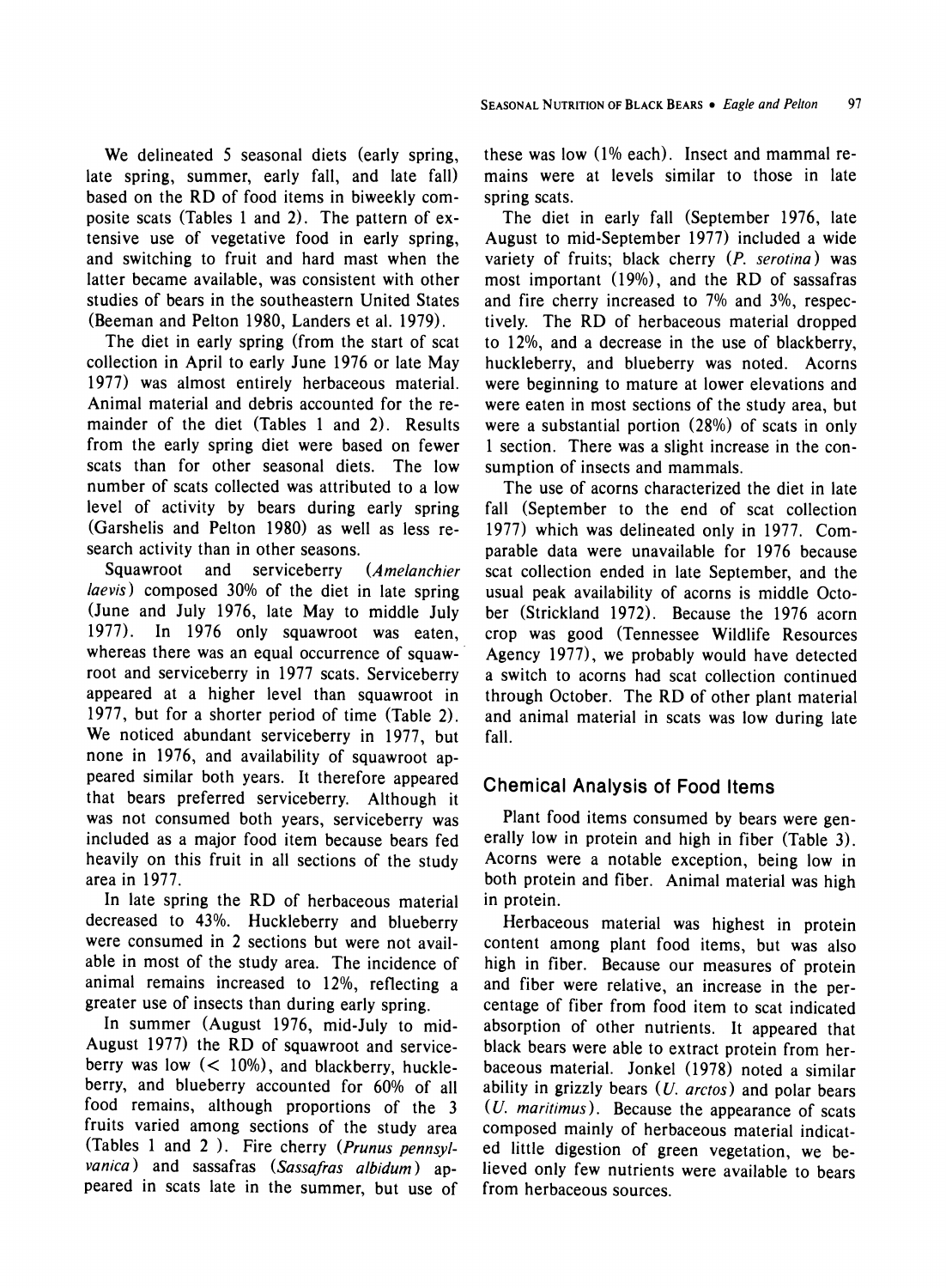**We delineated 5 seasonal diets (early spring, late spring, summer, early fall, and late fall) based on the RD of food items in biweekly composite scats (Tables 1 and 2). The pattern of extensive use of vegetative food in early spring, and switching to fruit and hard mast when the latter became available, was consistent with other studies of bears in the southeastern United States (Beeman and Pelton 1980, Landers et al. 1979).** 

**The diet in early spring (from the start of scat collection in April to early June 1976 or late May 1977) was almost entirely herbaceous material. Animal material and debris accounted for the remainder of the diet (Tables 1 and 2). Results from the early spring diet were based on fewer scats than for other seasonal diets. The low number of scats collected was attributed to a low level of activity by bears during early spring (Garshelis and Pelton 1980) as well as less research activity than in other seasons.** 

**Squawroot and serviceberry (Amelanchier laevis) composed 30% of the diet in late spring (June and July 1976, late May to middle July 1977). In 1976 only squawroot was eaten, whereas there was an equal occurrence of squawroot and serviceberry in 1977 scats. Serviceberry appeared at a higher level than squawroot in 1977, but for a shorter period of time (Table 2). We noticed abundant serviceberry in 1977, but none in 1976, and availability of squawroot appeared similar both years. It therefore appeared that bears preferred serviceberry. Although it was not consumed both years, serviceberry was included as a major food item because bears fed heavily on this fruit in all sections of the study area in 1977.** 

**In late spring the RD of herbaceous material decreased to 43%. Huckleberry and blueberry were consumed in 2 sections but were not available in most of the study area. The incidence of animal remains increased to 12%, reflecting a greater use of insects than during early spring.** 

**In summer (August 1976, mid-July to mid-August 1977) the RD of squawroot and serviceberry was low (< 10%), and blackberry, huckleberry, and blueberry accounted for 60% of all food remains, although proportions of the 3 fruits varied among sections of the study area (Tables 1 and 2 ). Fire cherry (Prunus pennsylvanica) and sassafras (Sassafras albidum) appeared in scats late in the summer, but use of**  **these was low (1% each). Insect and mammal remains were at levels similar to those in late spring scats.** 

**The diet in early fall (September 1976, late August to mid-September 1977) included a wide variety of fruits; black cherry (P. serotina) was most important (19%), and the RD of sassafras and fire cherry increased to 7% and 3%, respectively. The RD of herbaceous material dropped to 12%, and a decrease in the use of blackberry, huckleberry, and blueberry was noted. Acorns were beginning to mature at lower elevations and were eaten in most sections of the study area, but were a substantial portion (28%) of scats in only 1 section. There was a slight increase in the consumption of insects and mammals.** 

**The use of acorns characterized the diet in late fall (September to the end of scat collection 1977) which was delineated only in 1977. Comparable data were unavailable for 1976 because scat collection ended in late September, and the usual peak availability of acorns is middle October (Strickland 1972). Because the 1976 acorn crop was good (Tennessee Wildlife Resources Agency 1977), we probably would have detected a switch to acorns had scat collection continued through October. The RD of other plant material and animal material in scats was low during late fall.** 

# **Chemical Analysis of Food Items**

**Plant food items consumed by bears were generally low in protein and high in fiber (Table 3). Acorns were a notable exception, being low in both protein and fiber. Animal material was high in protein.** 

**Herbaceous material was highest in protein content among plant food items, but was also high in fiber. Because our measures of protein and fiber were relative, an increase in the percentage of fiber from food item to scat indicated absorption of other nutrients. It appeared that black bears were able to extract protein from herbaceous material. Jonkel (1978) noted a similar ability in grizzly bears (U. arctos) and polar bears (U. maritimus). Because the appearance of scats composed mainly of herbaceous material indicated little digestion of green vegetation, we believed only few nutrients were available to bears from herbaceous sources.**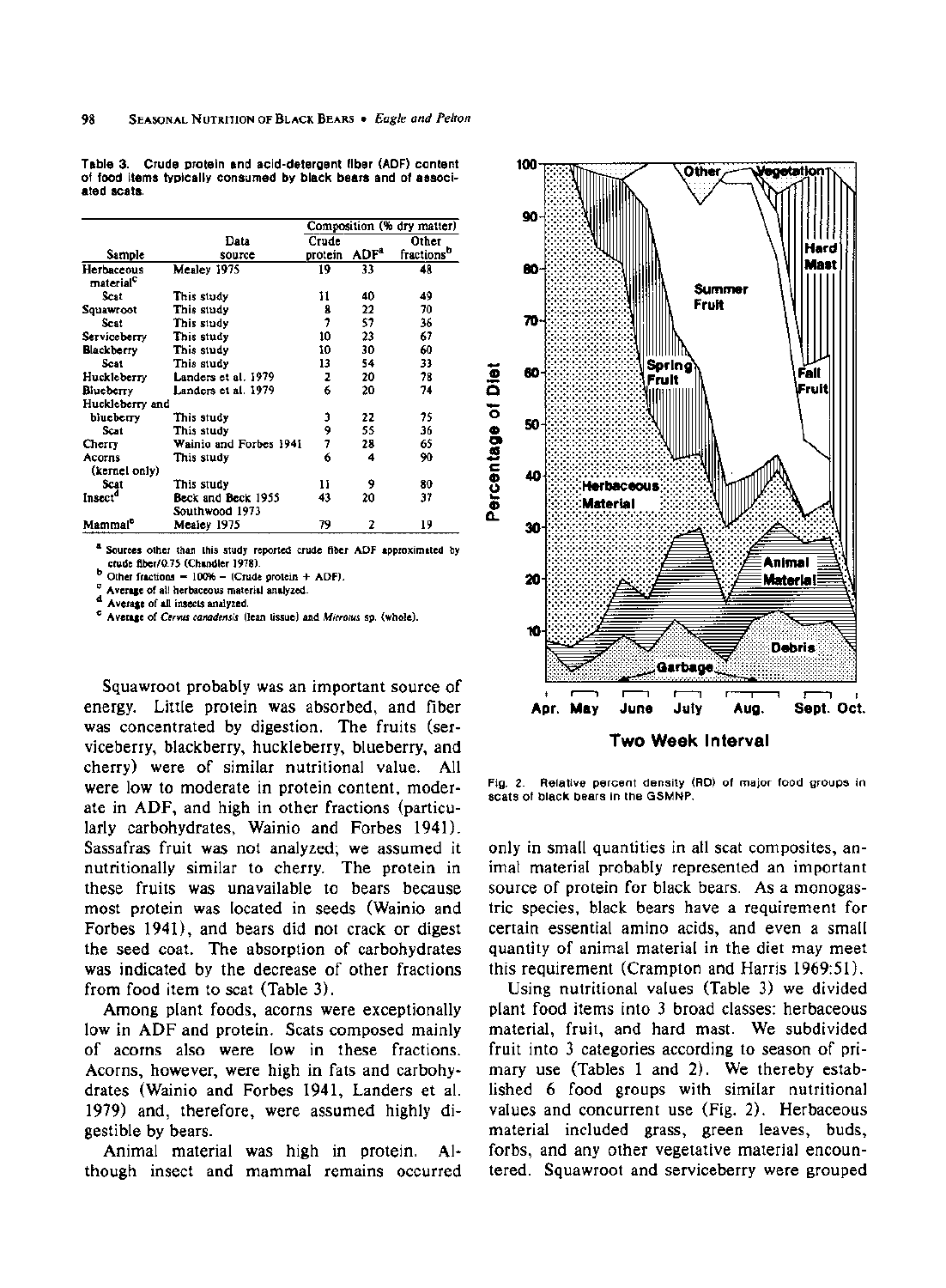**Table 3. Crude protein and acid-detergent fiber (ADF) content of food items typically consumed by black bears and of associated scats.** 

|                                     |                                      |         |                  | Composition (% dry matter) |
|-------------------------------------|--------------------------------------|---------|------------------|----------------------------|
|                                     | Data                                 | Crude   |                  | Other                      |
| Sample                              | source                               | protein | ADF <sup>4</sup> | fractions <sup>b</sup>     |
| Herbaceous<br>material <sup>c</sup> | Mealey 1975                          | 19      | 33               | 48                         |
| Scat                                | This study                           | 11      | 40               | 49                         |
| Squawroot                           | This study                           | 8       | 22               | 70                         |
| Scat                                | This study                           | 1       | 57               | 36                         |
| Serviceberry                        | This study                           | 10      | 23               | 67                         |
| <b>Blackberry</b>                   | This study                           | 10      | 30               | 60                         |
| Scat                                | This study                           | 13      | 54               | 33                         |
| Huckleberry                         | Landers et al. 1979                  | 2       | 20               | 78                         |
| Biueberry                           | Landers et al. 1979                  | 6       | 20               | 74                         |
| Huckleberry and                     |                                      |         |                  |                            |
| blueberry                           | This study                           | Э       | 22               | 75                         |
| Scat                                | This study                           | 9       | 55               | 36                         |
| Cherry                              | Wainio and Forbes 1941               | 7       | 28               | 65                         |
| Acorns<br>(kernel only)             | This study                           | 6       | 4                | 90                         |
| Scat                                | This study                           | Ħ       | 9                | 80                         |
| Insect <sup>a</sup>                 | Beck and Beck 1955<br>Southwood 1973 | 43      | 20               | 37                         |
| Mammal <sup>e</sup>                 | Mealey 1975                          | 79      | 2                | 19                         |

Sources other than this study reported crude fiber ADF approximated by **crude fiber/0.75 (Chandler 1978).** 

**b** Other fractions  $= 100% -$  (Crude protein + ADF).

**c Average of all herbaceous material analyzed. d Average of all insects analyzed.** 

**e Average of Cervus canadensis (lean tissue) and Microtus sp. (whole).** 

**Squawroot probably was an important source of energy. Little protein was absorbed, and fiber was concentrated by digestion. The fruits (serviceberry, blackberry, huckleberry, blueberry, and cherry) were of similar nutritional value. All were low to moderate in protein content, moderate in ADF, and high in other fractions (particularly carbohydrates, Wainio and Forbes 1941). Sassafras fruit was not analyzed; we assumed it nutritionally similar to cherry. The protein in these fruits was unavailable to bears because most protein was located in seeds (Wainio and Forbes 1941), and bears did not crack or digest the seed coat. The absorption of carbohydrates was indicated by the decrease of other fractions from food item to scat (Table 3).** 

**Among plant foods, acorns were exceptionally low in ADF and protein. Scats composed mainly of acorns also were low in these fractions. Acorns, however, were high in fats and carbohydrates (Wainio and Forbes 1941, Landers et al. 1979) and, therefore, were assumed highly digestible by bears.** 

**Animal material was high in protein. Although insect and mammal remains occurred** 



**Fig. 2. Relative percent density (RD) of major food groups in scats of black bears in the GSMNP.** 

**only in small quantities in all scat composites, animal material probably represented an important source of protein for black bears. As a monogastric species, black bears have a requirement for certain essential amino acids, and even a small quantity of animal material in the diet may meet this requirement (Crampton and Harris 1969:51).** 

**Using nutritional values (Table 3) we divided plant food items into 3 broad classes: herbaceous material, fruit, and hard mast. We subdivided fruit into 3 categories according to season of primary use (Tables 1 and 2). We thereby established 6 food groups with similar nutritional values and concurrent use (Fig. 2). Herbaceous material included grass, green leaves, buds, forbs, and any other vegetative material encountered. Squawroot and serviceberry were grouped**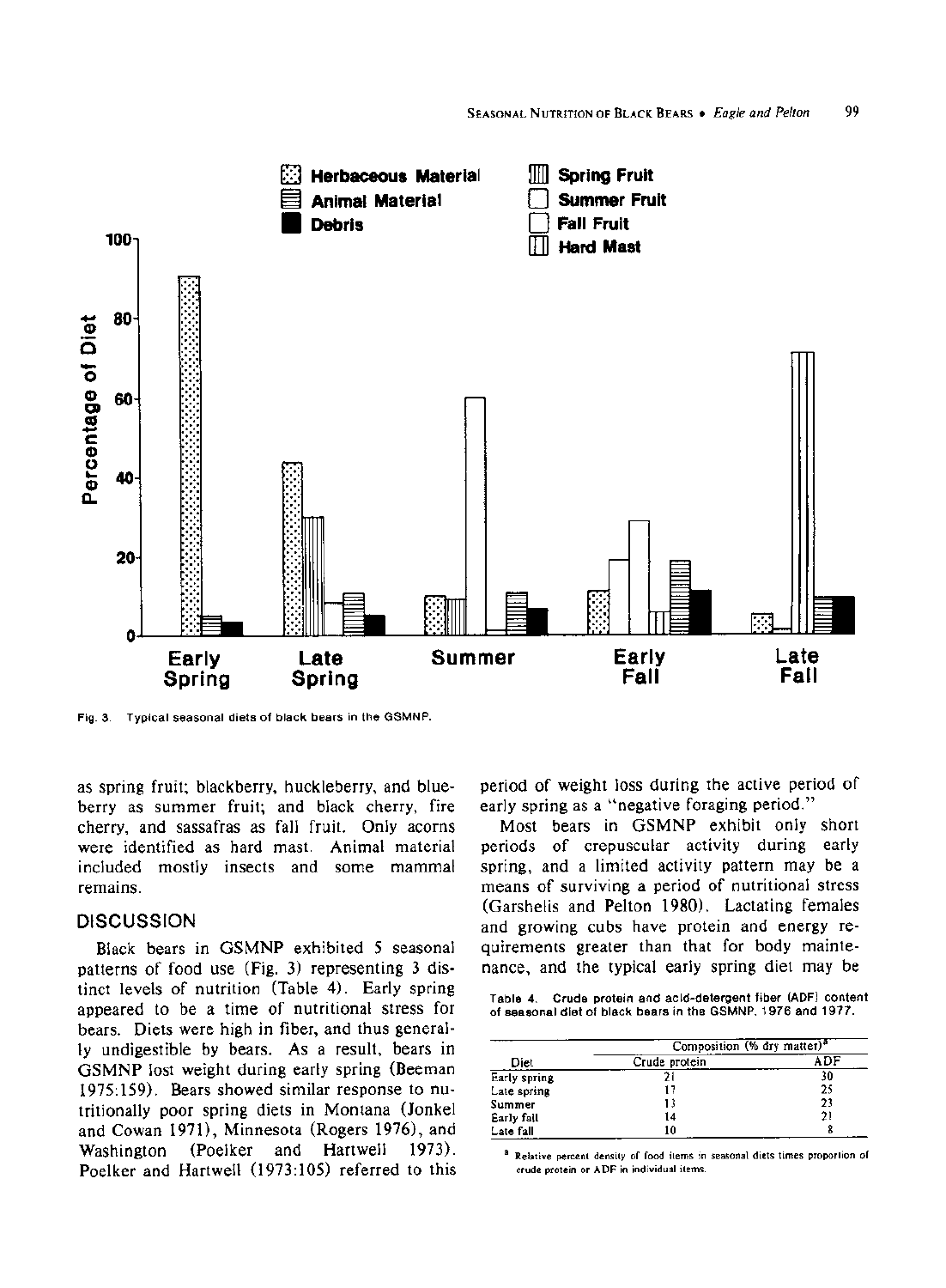

**Fig. 3. Typical seasonal diets of black bears in the GSMNP.** 

**as spring fruit; blackberry, huckleberry, and blueberry as summer fruit; and black cherry, fire cherry, and sassafras as fall fruit. Only acorns were identified as hard mast. Animal material included mostly insects and some mammal remains.** 

### **DISCUSSION**

**Black bears in GSMNP exhibited 5 seasonal patterns of food use (Fig. 3) representing 3 distinct levels of nutrition (Table 4). Early spring appeared to be a time of nutritional stress for bears. Diets were high in fiber, and thus generally undigestible by bears. As a result, bears in GSMNP lost weight during early spring (Beeman 1975:159). Bears showed similar response to nutritionally poor spring diets in Montana (Jonkel and Cowan 1971), Minnesota (Rogers 1976), and Washington (Poelker and Hartwell 1973). Poelker and Hartwell (1973:105) referred to this**  **period of weight loss during the active period of early spring as a "negative foraging period."** 

**Most bears in GSMNP exhibit only short periods of crepuscular activity during early spring, and a limited activity pattern may be a means of surviving a period of nutritional stress (Garshelis and Pelton 1980). Lactating females and growing cubs have protein and energy requirements greater than that for body maintenance, and the typical early spring diet may be** 

**Table 4. Crude protein and acid-detergent fiber (ADF) content of seasonal diet of black bears in the GSMNP, 1976 and 1977.** 

|              | Composition (% dry matter) <sup>2</sup> |     |  |  |  |
|--------------|-----------------------------------------|-----|--|--|--|
| Diet         | Crude protein                           | ADF |  |  |  |
| Early spring |                                         | 30  |  |  |  |
| Late spring  | 17                                      | 25  |  |  |  |
| Summer       | 13                                      | 23  |  |  |  |
| Early fall   | 14                                      | 21  |  |  |  |
| Late fall    | 10                                      |     |  |  |  |

**a Relative percent density of food items in seasonal diets times proportion of crude protein or ADF in individual items.**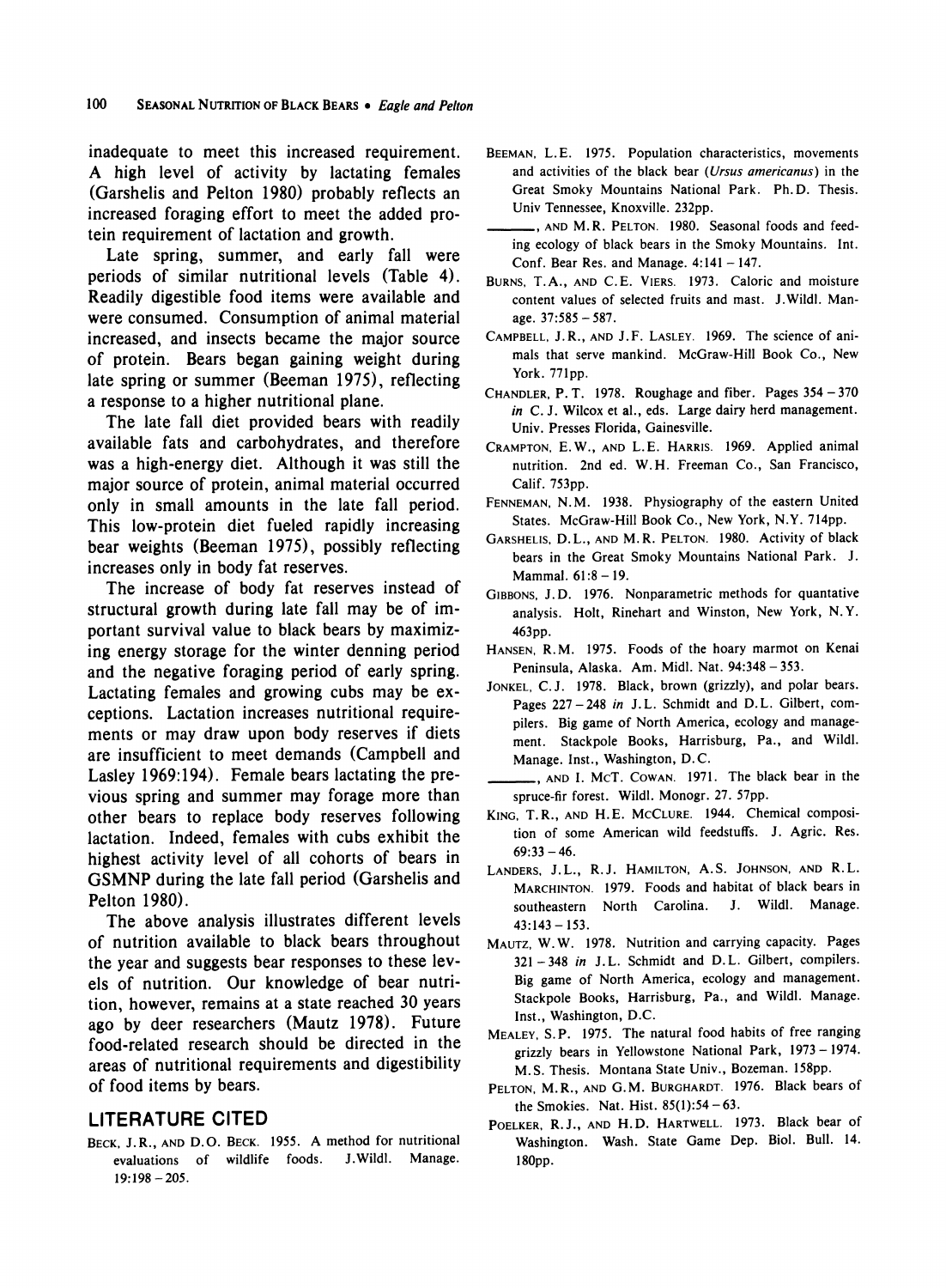**inadequate to meet this increased requirement. A high level of activity by lactating females (Garshelis and Pelton 1980) probably reflects an increased foraging effort to meet the added protein requirement of lactation and growth.** 

**Late spring, summer, and early fall were periods of similar nutritional levels (Table 4). Readily digestible food items were available and were consumed. Consumption of animal material increased, and insects became the major source of protein. Bears began gaining weight during late spring or summer (Beeman 1975), reflecting a response to a higher nutritional plane.** 

**The late fall diet provided bears with readily available fats and carbohydrates, and therefore was a high-energy diet. Although it was still the major source of protein, animal material occurred only in small amounts in the late fall period. This low-protein diet fueled rapidly increasing bear weights (Beeman 1975), possibly reflecting increases only in body fat reserves.** 

**The increase of body fat reserves instead of structural growth during late fall may be of important survival value to black bears by maximizing energy storage for the winter denning period and the negative foraging period of early spring. Lactating females and growing cubs may be exceptions. Lactation increases nutritional requirements or may draw upon body reserves if diets are insufficient to meet demands (Campbell and Lasley 1969:194). Female bears lactating the previous spring and summer may forage more than other bears to replace body reserves following lactation. Indeed, females with cubs exhibit the highest activity level of all cohorts of bears in GSMNP during the late fall period (Garshelis and Pelton 1980).** 

**The above analysis illustrates different levels of nutrition available to black bears throughout the year and suggests bear responses to these levels of nutrition. Our knowledge of bear nutrition, however, remains at a state reached 30 years ago by deer researchers (Mautz 1978). Future food-related research should be directed in the areas of nutritional requirements and digestibility of food items by bears.** 

# **LITERATURE CITED**

**BECK, J.R., AND D.O. BECK. 1955. A method for nutritional evaluations of wildlife foods. J.Wildl. Manage. 19:198 - 205.** 

BEEMAN, L.E. 1975. Population characteristics, movements **and activities of the black bear (Ursus americanus) in the Great Smoky Mountains National Park. Ph. D. Thesis. Univ Tennessee, Knoxville. 232pp.** 

**, AND M.R. PELTON. 1980. Seasonal foods and feeding ecology of black bears in the Smoky Mountains. Int. Conf. Bear Res. and Manage. 4:141 - 147.** 

- **BURNS, T.A., AND C.E. VIERS. 1973. Caloric and moisture content values of selected fruits and mast. J.Wildl. Manage. 37:585-587.**
- **CAMPBELL, J.R., AND J.F. LASLEY. 1969. The science of animals that serve mankind. McGraw-Hill Book Co., New York. 771pp.**
- **CHANDLER, P. T. 1978. Roughage and fiber. Pages 354- 370 in C. J. Wilcox et al., eds. Large dairy herd management. Univ. Presses Florida, Gainesville.**
- **CRAMPTON, E.W., AND L.E. HARRIS. 1969. Applied animal nutrition. 2nd ed. W. H. Freeman Co., San Francisco, Calif. 753pp.**
- **FENNEMAN, N.M. 1938. Physiography of the eastern United States. McGraw-Hill Book Co., New York, N.Y. 714pp.**
- **GARSHELIS, D.L., AND M.R. PELTON. 1980. Activity of black bears in the Great Smoky Mountains National Park. J. Mammal. 61:8 -19.**
- **GIBBONS, J.D. 1976. Nonparametric methods for quantative analysis. Holt, Rinehart and Winston, New York, N.Y. 463pp.**
- **HANSEN, R.M. 1975. Foods of the hoary marmot on Kenai Peninsula, Alaska. Am. Midl. Nat. 94:348- 353.**
- **JONKEL, C.J. 1978. Black, brown (grizzly), and polar bears. Pages 227-248 in J.L. Schmidt and D.L. Gilbert, compilers. Big game of North America, ecology and management. Stackpole Books, Harrisburg, Pa., and Wildl. Manage. Inst., Washington, D. C.**
- **, AND I. McT. COWAN. 1971. The black bear in the spruce-fir forest. Wildl. Monogr. 27. 57pp.**
- **KING, T.R., AND H.E. MCCLURE. 1944. Chemical composition of some American wild feedstuffs. J. Agric. Res. 69:33 -46.**
- **LANDERS, J.L., R.J. HAMILTON, A.S. JOHNSON, AND R.L. MARCHINTON. 1979. Foods and habitat of black bears in southeastern North Carolina. J. Wildl. Manage. 43:143- 153.**
- **MAUTZ, W.W. 1978. Nutrition and carrying capacity. Pages 321 -348 in J. L. Schmidt and D. L. Gilbert, compilers. Big game of North America, ecology and management. Stackpole Books, Harrisburg, Pa., and Wildl. Manage. Inst., Washington, D.C.**
- **MEALEY, S.P. 1975. The natural food habits of free ranging grizzly bears in Yellowstone National Park, 1973-1974. M.S. Thesis. Montana State Univ., Bozeman. 158pp.**
- **PELTON, M.R., AND G.M. BURGHARDT. 1976. Black bears of the Smokies. Nat. Hist. 85(1):54-63.**
- **POELKER, R.J., AND H.D. HARTWELL. 1973. Black bear of Washington. Wash. State Game Dep. Biol. Bull. 14. 180pp.**